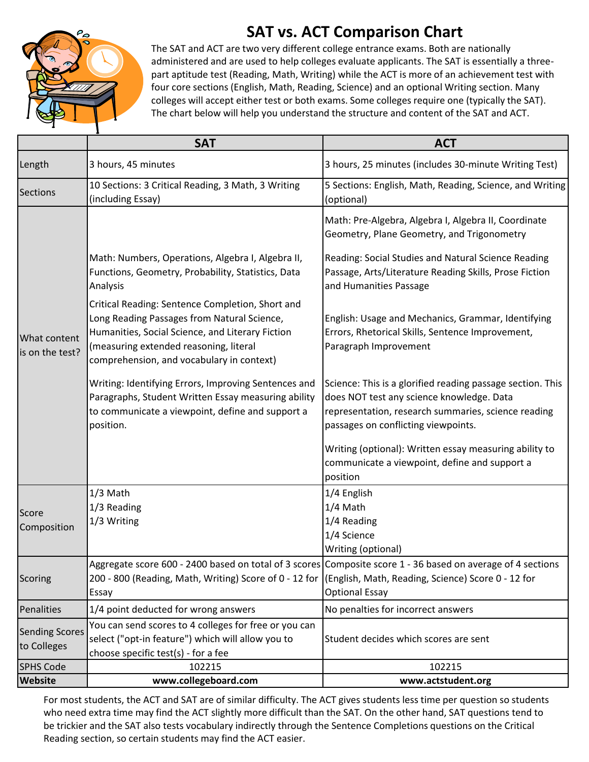## **SAT vs. ACT Comparison Chart**



The SAT and ACT are two very different college entrance exams. Both are nationally administered and are used to help colleges evaluate applicants. The SAT is essentially a threepart aptitude test (Reading, Math, Writing) while the ACT is more of an achievement test with four core sections (English, Math, Reading, Science) and an optional Writing section. Many colleges will accept either test or both exams. Some colleges require one (typically the SAT). The chart below will help you understand the structure and content of the SAT and ACT.

|                                      | <b>SAT</b>                                                                                                                                                                                                                                 | <b>ACT</b>                                                                                                                                                                                            |
|--------------------------------------|--------------------------------------------------------------------------------------------------------------------------------------------------------------------------------------------------------------------------------------------|-------------------------------------------------------------------------------------------------------------------------------------------------------------------------------------------------------|
| Length                               | 3 hours, 45 minutes                                                                                                                                                                                                                        | 3 hours, 25 minutes (includes 30-minute Writing Test)                                                                                                                                                 |
| <b>Sections</b>                      | 10 Sections: 3 Critical Reading, 3 Math, 3 Writing<br>(including Essay)                                                                                                                                                                    | 5 Sections: English, Math, Reading, Science, and Writing<br>(optional)                                                                                                                                |
| What content<br>is on the test?      |                                                                                                                                                                                                                                            | Math: Pre-Algebra, Algebra I, Algebra II, Coordinate<br>Geometry, Plane Geometry, and Trigonometry                                                                                                    |
|                                      | Math: Numbers, Operations, Algebra I, Algebra II,<br>Functions, Geometry, Probability, Statistics, Data<br>Analysis                                                                                                                        | Reading: Social Studies and Natural Science Reading<br>Passage, Arts/Literature Reading Skills, Prose Fiction<br>and Humanities Passage                                                               |
|                                      | Critical Reading: Sentence Completion, Short and<br>Long Reading Passages from Natural Science,<br>Humanities, Social Science, and Literary Fiction<br>(measuring extended reasoning, literal<br>comprehension, and vocabulary in context) | English: Usage and Mechanics, Grammar, Identifying<br>Errors, Rhetorical Skills, Sentence Improvement,<br>Paragraph Improvement                                                                       |
|                                      | Writing: Identifying Errors, Improving Sentences and<br>Paragraphs, Student Written Essay measuring ability<br>to communicate a viewpoint, define and support a<br>position.                                                               | Science: This is a glorified reading passage section. This<br>does NOT test any science knowledge. Data<br>representation, research summaries, science reading<br>passages on conflicting viewpoints. |
|                                      |                                                                                                                                                                                                                                            | Writing (optional): Written essay measuring ability to<br>communicate a viewpoint, define and support a<br>position                                                                                   |
| Score<br>Composition                 | 1/3 Math<br>1/3 Reading<br>1/3 Writing                                                                                                                                                                                                     | 1/4 English<br>1/4 Math<br>1/4 Reading<br>1/4 Science<br>Writing (optional)                                                                                                                           |
| Scoring                              | 200 - 800 (Reading, Math, Writing) Score of 0 - 12 for (English, Math, Reading, Science) Score 0 - 12 for<br>Essay                                                                                                                         | Aggregate score 600 - 2400 based on total of 3 scores Composite score 1 - 36 based on average of 4 sections<br><b>Optional Essay</b>                                                                  |
| Penalities                           | 1/4 point deducted for wrong answers                                                                                                                                                                                                       | No penalties for incorrect answers                                                                                                                                                                    |
| <b>Sending Scores</b><br>to Colleges | You can send scores to 4 colleges for free or you can<br>select ("opt-in feature") which will allow you to<br>choose specific test(s) - for a fee                                                                                          | Student decides which scores are sent                                                                                                                                                                 |
| <b>SPHS Code</b>                     | 102215                                                                                                                                                                                                                                     | 102215                                                                                                                                                                                                |
| <b>Website</b>                       | www.collegeboard.com                                                                                                                                                                                                                       | www.actstudent.org                                                                                                                                                                                    |

For most students, the ACT and SAT are of similar difficulty. The ACT gives students less time per question so students who need extra time may find the ACT slightly more difficult than the SAT. On the other hand, SAT questions tend to be trickier and the SAT also tests vocabulary indirectly through the Sentence Completions questions on the Critical Reading section, so certain students may find the ACT easier.